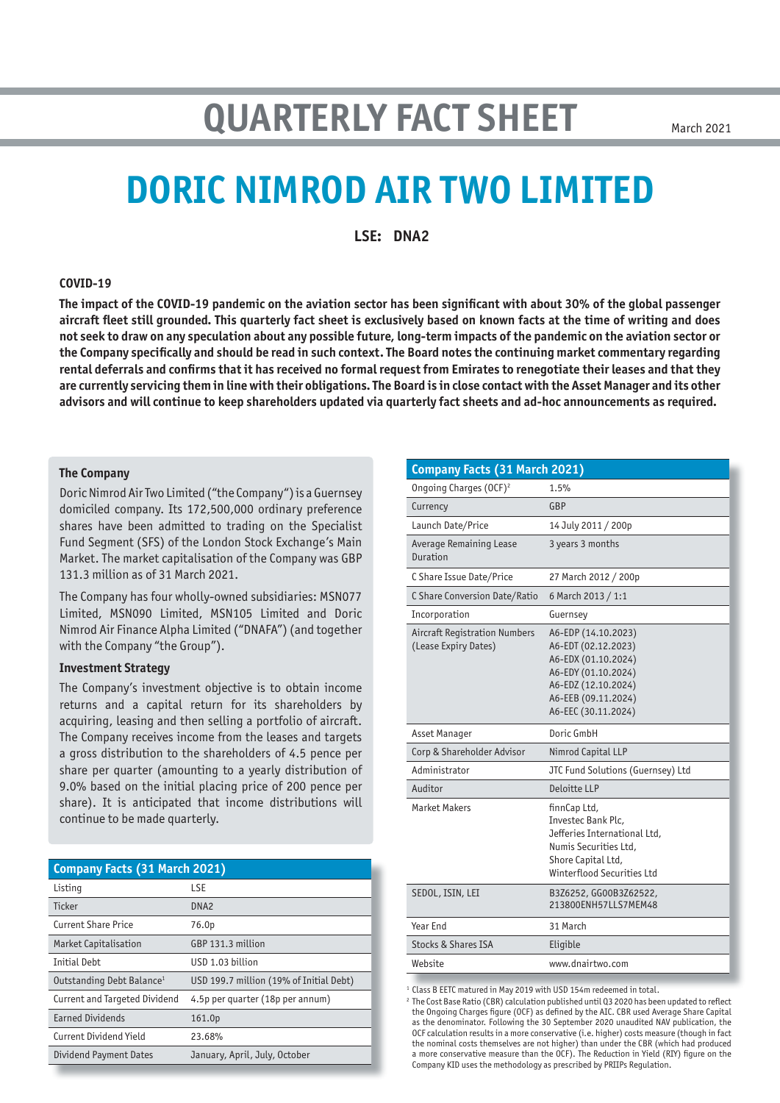# **QUARTERLY FACT SHEET**

# **DORIC NIMROD AIR TWO LIMITED**

**LSE: DNA2**

#### **COVID-19**

**The impact of the COVID-19 pandemic on the aviation sector has been significant with about 30% of the global passenger aircraft fleet still grounded. This quarterly fact sheet is exclusively based on known facts at the time of writing and does not seek to draw on any speculation about any possible future, long-term impacts of the pandemic on the aviation sector or the Company specifically and should be read in such context. The Board notes the continuing market commentary regarding rental deferrals and confirms that it has received no formal request from Emirates to renegotiate their leases and that they are currently servicing them in line with their obligations. The Board is in close contact with the Asset Manager and its other advisors and will continue to keep shareholders updated via quarterly fact sheets and ad-hoc announcements as required.**

#### **The Company**

Doric Nimrod Air Two Limited ("the Company") is a Guernsey domiciled company. Its 172,500,000 ordinary preference shares have been admitted to trading on the Specialist Fund Segment (SFS) of the London Stock Exchange's Main Market. The market capitalisation of the Company was GBP 131.3 million as of 31 March 2021.

The Company has four wholly-owned subsidiaries: MSN077 Limited, MSN090 Limited, MSN105 Limited and Doric Nimrod Air Finance Alpha Limited ("DNAFA") (and together with the Company "the Group").

#### **Investment Strategy**

The Company's investment objective is to obtain income returns and a capital return for its shareholders by acquiring, leasing and then selling a portfolio of aircraft. The Company receives income from the leases and targets a gross distribution to the shareholders of 4.5 pence per share per quarter (amounting to a yearly distribution of 9.0% based on the initial placing price of 200 pence per share). It is anticipated that income distributions will continue to be made quarterly.

| <b>Company Facts (31 March 2021)</b>  |                                         |  |  |  |
|---------------------------------------|-----------------------------------------|--|--|--|
| Listing                               | <b>LSE</b>                              |  |  |  |
| Ticker                                | DNA <sub>2</sub>                        |  |  |  |
| <b>Current Share Price</b>            | 76.0p                                   |  |  |  |
| Market Capitalisation                 | GBP 131.3 million                       |  |  |  |
| <b>Initial Debt</b>                   | USD 1.03 billion                        |  |  |  |
| Outstanding Debt Balance <sup>1</sup> | USD 199.7 million (19% of Initial Debt) |  |  |  |
| Current and Targeted Dividend         | 4.5p per quarter (18p per annum)        |  |  |  |
| <b>Earned Dividends</b>               | 161.0p                                  |  |  |  |
| Current Dividend Yield                | 23.68%                                  |  |  |  |
| <b>Dividend Payment Dates</b>         | January, April, July, October           |  |  |  |

| Company Facts (31 March 2021)                                |                                                                                                                                                               |  |  |  |  |
|--------------------------------------------------------------|---------------------------------------------------------------------------------------------------------------------------------------------------------------|--|--|--|--|
| Ongoing Charges (OCF) <sup>2</sup>                           | 1.5%                                                                                                                                                          |  |  |  |  |
| Currency                                                     | GBP                                                                                                                                                           |  |  |  |  |
| Launch Date/Price                                            | 14 July 2011 / 200p                                                                                                                                           |  |  |  |  |
| <b>Average Remaining Lease</b><br>Duration                   | 3 years 3 months                                                                                                                                              |  |  |  |  |
| C Share Issue Date/Price                                     | 27 March 2012 / 200p                                                                                                                                          |  |  |  |  |
| C Share Conversion Date/Ratio                                | 6 March 2013 / 1:1                                                                                                                                            |  |  |  |  |
| Incorporation                                                | Guernsey                                                                                                                                                      |  |  |  |  |
| <b>Aircraft Registration Numbers</b><br>(Lease Expiry Dates) | A6-EDP (14.10.2023)<br>A6-EDT (02.12.2023)<br>A6-EDX (01.10.2024)<br>A6-EDY (01.10.2024)<br>A6-EDZ (12.10.2024)<br>A6-EEB (09.11.2024)<br>A6-EEC (30.11.2024) |  |  |  |  |
| Asset Manager                                                | Doric GmbH                                                                                                                                                    |  |  |  |  |
| Corp & Shareholder Advisor                                   | Nimrod Capital LLP                                                                                                                                            |  |  |  |  |
| Administrator                                                | JTC Fund Solutions (Guernsey) Ltd                                                                                                                             |  |  |  |  |
| Auditor                                                      | Deloitte LLP                                                                                                                                                  |  |  |  |  |
| <b>Market Makers</b>                                         | finnCap Ltd,<br>Investec Bank Plc.<br>Jefferies International Ltd.<br>Numis Securities Ltd.<br>Shore Capital Ltd,<br>Winterflood Securities Ltd               |  |  |  |  |
| SEDOL, ISIN, LEI                                             | B3Z6252, GG00B3Z62522,                                                                                                                                        |  |  |  |  |
|                                                              | 213800ENH57LLS7MEM48                                                                                                                                          |  |  |  |  |
| Year End                                                     | 31 March                                                                                                                                                      |  |  |  |  |
| <b>Stocks &amp; Shares ISA</b>                               | Eligible                                                                                                                                                      |  |  |  |  |

<sup>1</sup> Class B EETC matured in May 2019 with USD 154m redeemed in total.

<sup>2</sup> The Cost Base Ratio (CBR) calculation published until Q3 2020 has been updated to reflect the Ongoing Charges figure (OCF) as defined by the AIC. CBR used Average Share Capital as the denominator. Following the 30 September 2020 unaudited NAV publication, the OCF calculation results in a more conservative (i.e. higher) costs measure (though in fact the nominal costs themselves are not higher) than under the CBR (which had produced a more conservative measure than the OCF). The Reduction in Yield (RIY) figure on the Company KID uses the methodology as prescribed by PRIIPs Regulation.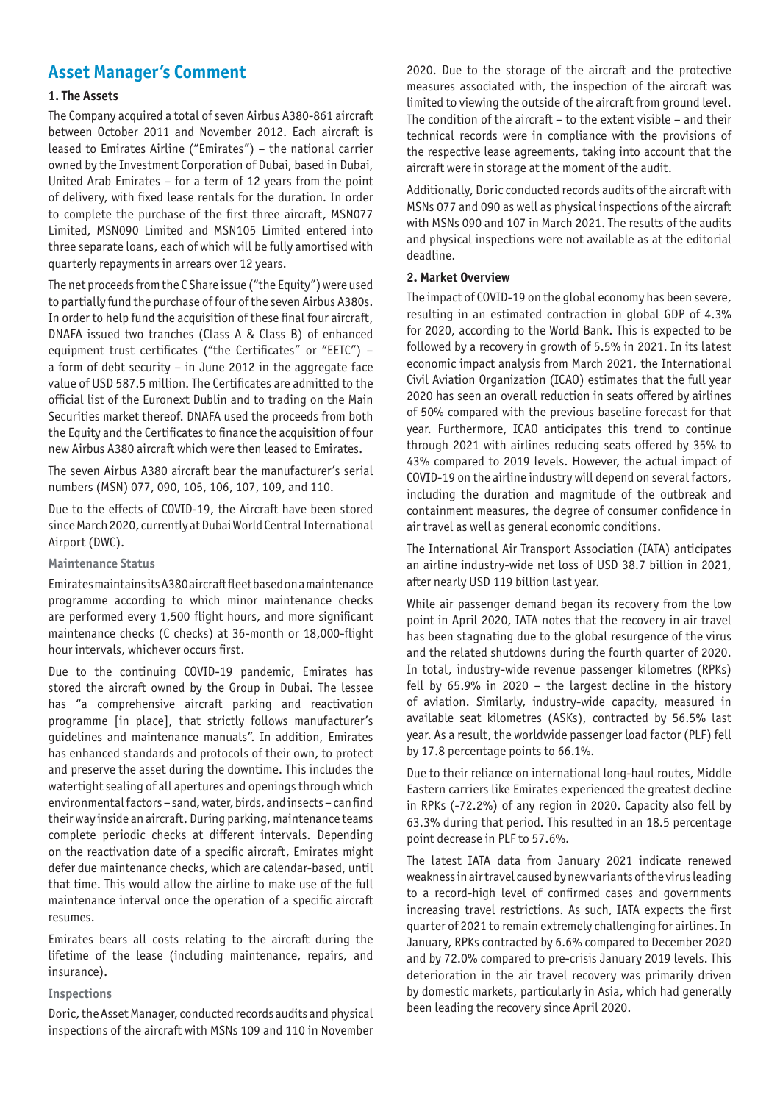## **Asset Manager's Comment**

#### **1. The Assets**

The Company acquired a total of seven Airbus A380-861 aircraft between October 2011 and November 2012. Each aircraft is leased to Emirates Airline ("Emirates") – the national carrier owned by the Investment Corporation of Dubai, based in Dubai, United Arab Emirates – for a term of 12 years from the point of delivery, with fixed lease rentals for the duration. In order to complete the purchase of the first three aircraft, MSN077 Limited, MSN090 Limited and MSN105 Limited entered into three separate loans, each of which will be fully amortised with quarterly repayments in arrears over 12 years.

The net proceeds from the C Share issue ("the Equity") were used to partially fund the purchase of four of the seven Airbus A380s. In order to help fund the acquisition of these final four aircraft, DNAFA issued two tranches (Class A & Class B) of enhanced equipment trust certificates ("the Certificates" or "EETC") – a form of debt security – in June 2012 in the aggregate face value of USD 587.5 million. The Certificates are admitted to the official list of the Euronext Dublin and to trading on the Main Securities market thereof. DNAFA used the proceeds from both the Equity and the Certificates to finance the acquisition of four new Airbus A380 aircraft which were then leased to Emirates.

The seven Airbus A380 aircraft bear the manufacturer's serial numbers (MSN) 077, 090, 105, 106, 107, 109, and 110.

Due to the effects of COVID-19, the Aircraft have been stored since March 2020, currently at Dubai World Central International Airport (DWC).

#### **Maintenance Status**

Emirates maintains its A380 aircraft fleet based on a maintenance programme according to which minor maintenance checks are performed every 1,500 flight hours, and more significant maintenance checks (C checks) at 36-month or 18,000-flight hour intervals, whichever occurs first.

Due to the continuing COVID-19 pandemic, Emirates has stored the aircraft owned by the Group in Dubai. The lessee has "a comprehensive aircraft parking and reactivation programme [in place], that strictly follows manufacturer's guidelines and maintenance manuals". In addition, Emirates has enhanced standards and protocols of their own, to protect and preserve the asset during the downtime. This includes the watertight sealing of all apertures and openings through which environmental factors – sand, water, birds, and insects – can find their way inside an aircraft. During parking, maintenance teams complete periodic checks at different intervals. Depending on the reactivation date of a specific aircraft, Emirates might defer due maintenance checks, which are calendar-based, until that time. This would allow the airline to make use of the full maintenance interval once the operation of a specific aircraft resumes.

Emirates bears all costs relating to the aircraft during the lifetime of the lease (including maintenance, repairs, and insurance).

#### **Inspections**

Doric, the Asset Manager, conducted records audits and physical inspections of the aircraft with MSNs 109 and 110 in November

2020. Due to the storage of the aircraft and the protective measures associated with, the inspection of the aircraft was limited to viewing the outside of the aircraft from ground level. The condition of the aircraft – to the extent visible – and their technical records were in compliance with the provisions of the respective lease agreements, taking into account that the aircraft were in storage at the moment of the audit.

Additionally, Doric conducted records audits of the aircraft with MSNs 077 and 090 as well as physical inspections of the aircraft with MSNs 090 and 107 in March 2021. The results of the audits and physical inspections were not available as at the editorial deadline.

#### **2. Market Overview**

The impact of COVID-19 on the global economy has been severe, resulting in an estimated contraction in global GDP of 4.3% for 2020, according to the World Bank. This is expected to be followed by a recovery in growth of 5.5% in 2021. In its latest economic impact analysis from March 2021, the International Civil Aviation Organization (ICAO) estimates that the full year 2020 has seen an overall reduction in seats offered by airlines of 50% compared with the previous baseline forecast for that year. Furthermore, ICAO anticipates this trend to continue through 2021 with airlines reducing seats offered by 35% to 43% compared to 2019 levels. However, the actual impact of COVID-19 on the airline industry will depend on several factors, including the duration and magnitude of the outbreak and containment measures, the degree of consumer confidence in air travel as well as general economic conditions.

The International Air Transport Association (IATA) anticipates an airline industry-wide net loss of USD 38.7 billion in 2021, after nearly USD 119 billion last year.

While air passenger demand began its recovery from the low point in April 2020, IATA notes that the recovery in air travel has been stagnating due to the global resurgence of the virus and the related shutdowns during the fourth quarter of 2020. In total, industry-wide revenue passenger kilometres (RPKs) fell by 65.9% in 2020 – the largest decline in the history of aviation. Similarly, industry-wide capacity, measured in available seat kilometres (ASKs), contracted by 56.5% last year. As a result, the worldwide passenger load factor (PLF) fell by 17.8 percentage points to 66.1%.

Due to their reliance on international long-haul routes, Middle Eastern carriers like Emirates experienced the greatest decline in RPKs (-72.2%) of any region in 2020. Capacity also fell by 63.3% during that period. This resulted in an 18.5 percentage point decrease in PLF to 57.6%.

The latest IATA data from January 2021 indicate renewed weakness in air travel caused by new variants of the virus leading to a record-high level of confirmed cases and governments increasing travel restrictions. As such, IATA expects the first quarter of 2021 to remain extremely challenging for airlines. In January, RPKs contracted by 6.6% compared to December 2020 and by 72.0% compared to pre-crisis January 2019 levels. This deterioration in the air travel recovery was primarily driven by domestic markets, particularly in Asia, which had generally been leading the recovery since April 2020.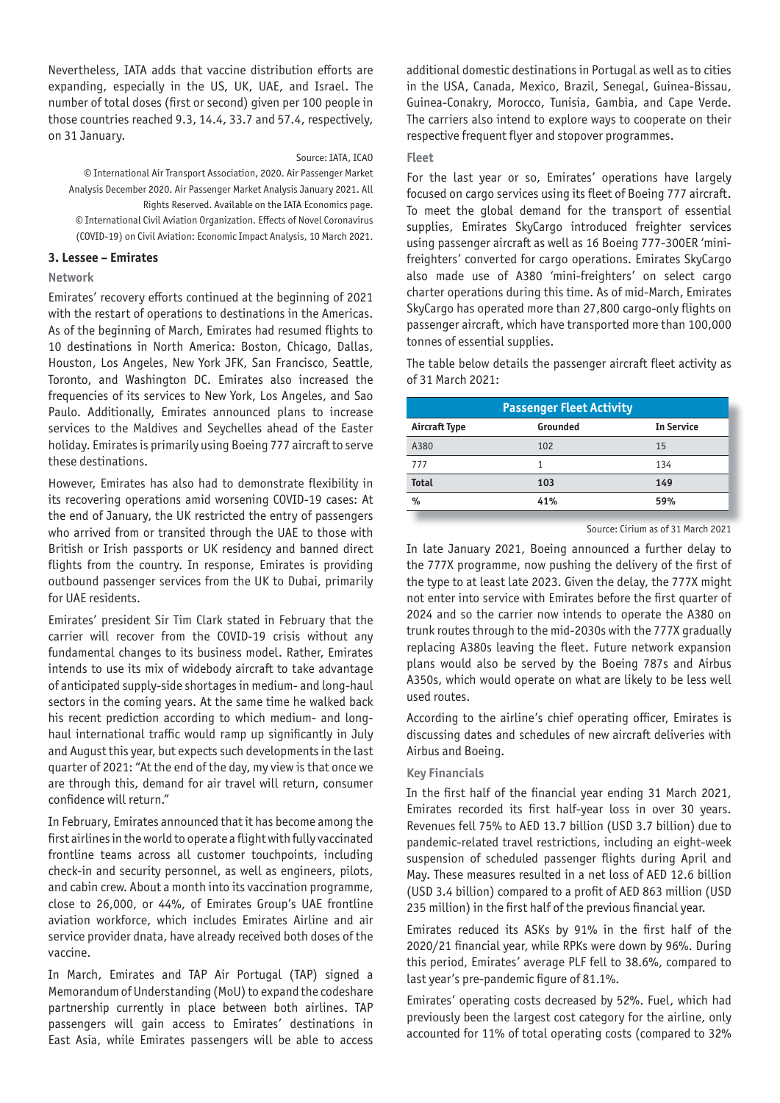Nevertheless, IATA adds that vaccine distribution efforts are expanding, especially in the US, UK, UAE, and Israel. The number of total doses (first or second) given per 100 people in those countries reached 9.3, 14.4, 33.7 and 57.4, respectively, on 31 January.

#### Source: IATA, ICAO

© International Air Transport Association, 2020. Air Passenger Market Analysis December 2020. Air Passenger Market Analysis January 2021. All Rights Reserved. Available on the IATA Economics page. © International Civil Aviation Organization. Effects of Novel Coronavirus (COVID-19) on Civil Aviation: Economic Impact Analysis, 10 March 2021.

#### **3. Lessee – Emirates**

#### **Network**

Emirates' recovery efforts continued at the beginning of 2021 with the restart of operations to destinations in the Americas. As of the beginning of March, Emirates had resumed flights to 10 destinations in North America: Boston, Chicago, Dallas, Houston, Los Angeles, New York JFK, San Francisco, Seattle, Toronto, and Washington DC. Emirates also increased the frequencies of its services to New York, Los Angeles, and Sao Paulo. Additionally, Emirates announced plans to increase services to the Maldives and Seychelles ahead of the Easter holiday. Emirates is primarily using Boeing 777 aircraft to serve these destinations.

However, Emirates has also had to demonstrate flexibility in its recovering operations amid worsening COVID-19 cases: At the end of January, the UK restricted the entry of passengers who arrived from or transited through the UAE to those with British or Irish passports or UK residency and banned direct flights from the country. In response, Emirates is providing outbound passenger services from the UK to Dubai, primarily for UAE residents.

Emirates' president Sir Tim Clark stated in February that the carrier will recover from the COVID-19 crisis without any fundamental changes to its business model. Rather, Emirates intends to use its mix of widebody aircraft to take advantage of anticipated supply-side shortages in medium- and long-haul sectors in the coming years. At the same time he walked back his recent prediction according to which medium- and longhaul international traffic would ramp up significantly in July and August this year, but expects such developments in the last quarter of 2021: "At the end of the day, my view is that once we are through this, demand for air travel will return, consumer confidence will return."

In February, Emirates announced that it has become among the first airlines in the world to operate a flight with fully vaccinated frontline teams across all customer touchpoints, including check-in and security personnel, as well as engineers, pilots, and cabin crew. About a month into its vaccination programme, close to 26,000, or 44%, of Emirates Group's UAE frontline aviation workforce, which includes Emirates Airline and air service provider dnata, have already received both doses of the vaccine.

In March, Emirates and TAP Air Portugal (TAP) signed a Memorandum of Understanding (MoU) to expand the codeshare partnership currently in place between both airlines. TAP passengers will gain access to Emirates' destinations in East Asia, while Emirates passengers will be able to access

additional domestic destinations in Portugal as well as to cities in the USA, Canada, Mexico, Brazil, Senegal, Guinea-Bissau, Guinea-Conakry, Morocco, Tunisia, Gambia, and Cape Verde. The carriers also intend to explore ways to cooperate on their respective frequent flyer and stopover programmes.

#### **Fleet**

For the last year or so, Emirates' operations have largely focused on cargo services using its fleet of Boeing 777 aircraft. To meet the global demand for the transport of essential supplies, Emirates SkyCargo introduced freighter services using passenger aircraft as well as 16 Boeing 777-300ER 'minifreighters' converted for cargo operations. Emirates SkyCargo also made use of A380 'mini-freighters' on select cargo charter operations during this time. As of mid-March, Emirates SkyCargo has operated more than 27,800 cargo-only flights on passenger aircraft, which have transported more than 100,000 tonnes of essential supplies.

The table below details the passenger aircraft fleet activity as of 31 March 2021:

| <b>Passenger Fleet Activity</b> |          |                   |  |  |  |  |
|---------------------------------|----------|-------------------|--|--|--|--|
| <b>Aircraft Type</b>            | Grounded | <b>In Service</b> |  |  |  |  |
| A380                            | 102      | 15                |  |  |  |  |
| 777                             |          | 134               |  |  |  |  |
| <b>Total</b>                    | 103      | 149               |  |  |  |  |
| %                               | 41%      | 59%               |  |  |  |  |

#### Source: Cirium as of 31 March 2021

In late January 2021, Boeing announced a further delay to the 777X programme, now pushing the delivery of the first of the type to at least late 2023. Given the delay, the 777X might not enter into service with Emirates before the first quarter of 2024 and so the carrier now intends to operate the A380 on trunk routes through to the mid-2030s with the 777X gradually replacing A380s leaving the fleet. Future network expansion plans would also be served by the Boeing 787s and Airbus A350s, which would operate on what are likely to be less well used routes.

According to the airline's chief operating officer, Emirates is discussing dates and schedules of new aircraft deliveries with Airbus and Boeing.

#### **Key Financials**

In the first half of the financial year ending 31 March 2021, Emirates recorded its first half-year loss in over 30 years. Revenues fell 75% to AED 13.7 billion (USD 3.7 billion) due to pandemic-related travel restrictions, including an eight-week suspension of scheduled passenger flights during April and May. These measures resulted in a net loss of AED 12.6 billion (USD 3.4 billion) compared to a profit of AED 863 million (USD 235 million) in the first half of the previous financial year.

Emirates reduced its ASKs by 91% in the first half of the 2020/21 financial year, while RPKs were down by 96%. During this period, Emirates' average PLF fell to 38.6%, compared to last year's pre-pandemic figure of 81.1%.

Emirates' operating costs decreased by 52%. Fuel, which had previously been the largest cost category for the airline, only accounted for 11% of total operating costs (compared to 32%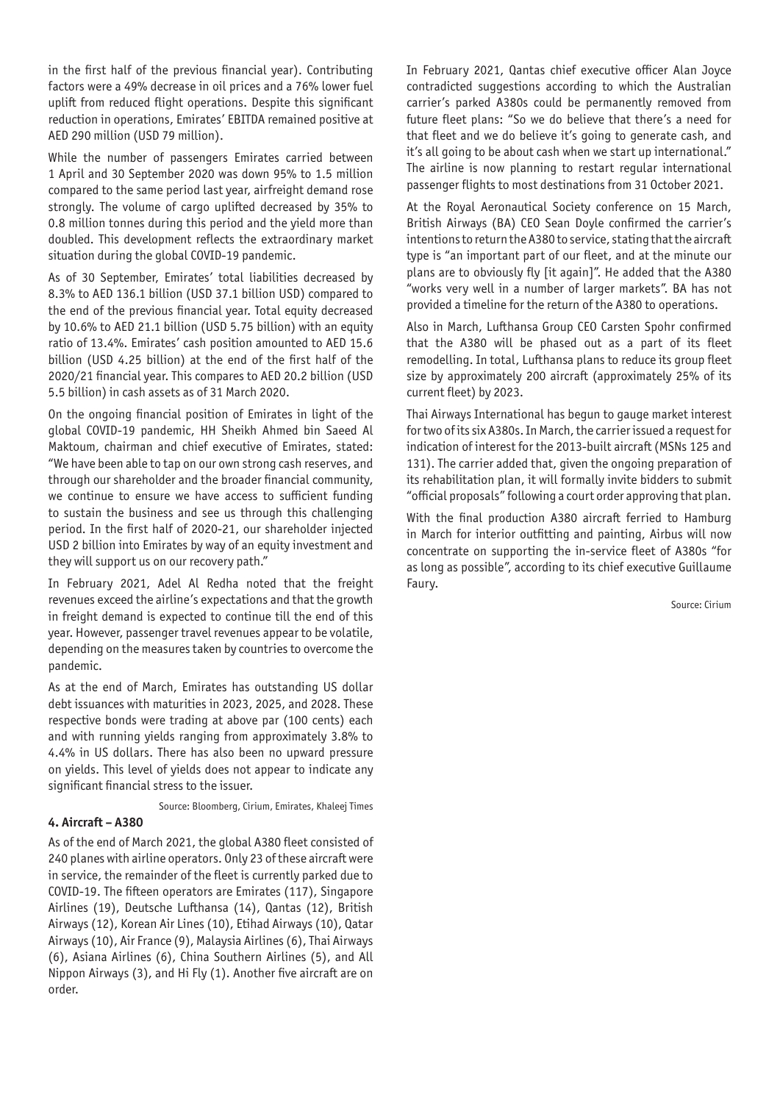in the first half of the previous financial year). Contributing factors were a 49% decrease in oil prices and a 76% lower fuel uplift from reduced flight operations. Despite this significant reduction in operations, Emirates' EBITDA remained positive at AED 290 million (USD 79 million).

While the number of passengers Emirates carried between 1 April and 30 September 2020 was down 95% to 1.5 million compared to the same period last year, airfreight demand rose strongly. The volume of cargo uplifted decreased by 35% to 0.8 million tonnes during this period and the yield more than doubled. This development reflects the extraordinary market situation during the global COVID-19 pandemic.

As of 30 September, Emirates' total liabilities decreased by 8.3% to AED 136.1 billion (USD 37.1 billion USD) compared to the end of the previous financial year. Total equity decreased by 10.6% to AED 21.1 billion (USD 5.75 billion) with an equity ratio of 13.4%. Emirates' cash position amounted to AED 15.6 billion (USD 4.25 billion) at the end of the first half of the 2020/21 financial year. This compares to AED 20.2 billion (USD 5.5 billion) in cash assets as of 31 March 2020.

On the ongoing financial position of Emirates in light of the global COVID-19 pandemic, HH Sheikh Ahmed bin Saeed Al Maktoum, chairman and chief executive of Emirates, stated: "We have been able to tap on our own strong cash reserves, and through our shareholder and the broader financial community, we continue to ensure we have access to sufficient funding to sustain the business and see us through this challenging period. In the first half of 2020-21, our shareholder injected USD 2 billion into Emirates by way of an equity investment and they will support us on our recovery path."

In February 2021, Adel Al Redha noted that the freight revenues exceed the airline's expectations and that the growth in freight demand is expected to continue till the end of this year. However, passenger travel revenues appear to be volatile, depending on the measures taken by countries to overcome the pandemic.

As at the end of March, Emirates has outstanding US dollar debt issuances with maturities in 2023, 2025, and 2028. These respective bonds were trading at above par (100 cents) each and with running yields ranging from approximately 3.8% to 4.4% in US dollars. There has also been no upward pressure on yields. This level of yields does not appear to indicate any significant financial stress to the issuer.

Source: Bloomberg, Cirium, Emirates, Khaleej Times

#### **4. Aircraft – A380**

As of the end of March 2021, the global A380 fleet consisted of 240 planes with airline operators. Only 23 of these aircraft were in service, the remainder of the fleet is currently parked due to COVID-19. The fifteen operators are Emirates (117), Singapore Airlines (19), Deutsche Lufthansa (14), Qantas (12), British Airways (12), Korean Air Lines (10), Etihad Airways (10), Qatar Airways (10), Air France (9), Malaysia Airlines (6), Thai Airways (6), Asiana Airlines (6), China Southern Airlines (5), and All Nippon Airways (3), and Hi Fly (1). Another five aircraft are on order.

In February 2021, Qantas chief executive officer Alan Joyce contradicted suggestions according to which the Australian carrier's parked A380s could be permanently removed from future fleet plans: "So we do believe that there's a need for that fleet and we do believe it's going to generate cash, and it's all going to be about cash when we start up international." The airline is now planning to restart regular international passenger flights to most destinations from 31 October 2021.

At the Royal Aeronautical Society conference on 15 March, British Airways (BA) CEO Sean Doyle confirmed the carrier's intentions to return the A380 to service, stating that the aircraft type is "an important part of our fleet, and at the minute our plans are to obviously fly [it again]". He added that the A380 "works very well in a number of larger markets". BA has not provided a timeline for the return of the A380 to operations.

Also in March, Lufthansa Group CEO Carsten Spohr confirmed that the A380 will be phased out as a part of its fleet remodelling. In total, Lufthansa plans to reduce its group fleet size by approximately 200 aircraft (approximately 25% of its current fleet) by 2023.

Thai Airways International has begun to gauge market interest for two of its six A380s. In March, the carrier issued a request for indication of interest for the 2013-built aircraft (MSNs 125 and 131). The carrier added that, given the ongoing preparation of its rehabilitation plan, it will formally invite bidders to submit "official proposals" following a court order approving that plan.

With the final production A380 aircraft ferried to Hamburg in March for interior outfitting and painting, Airbus will now concentrate on supporting the in-service fleet of A380s "for as long as possible", according to its chief executive Guillaume Faury.

Source: Cirium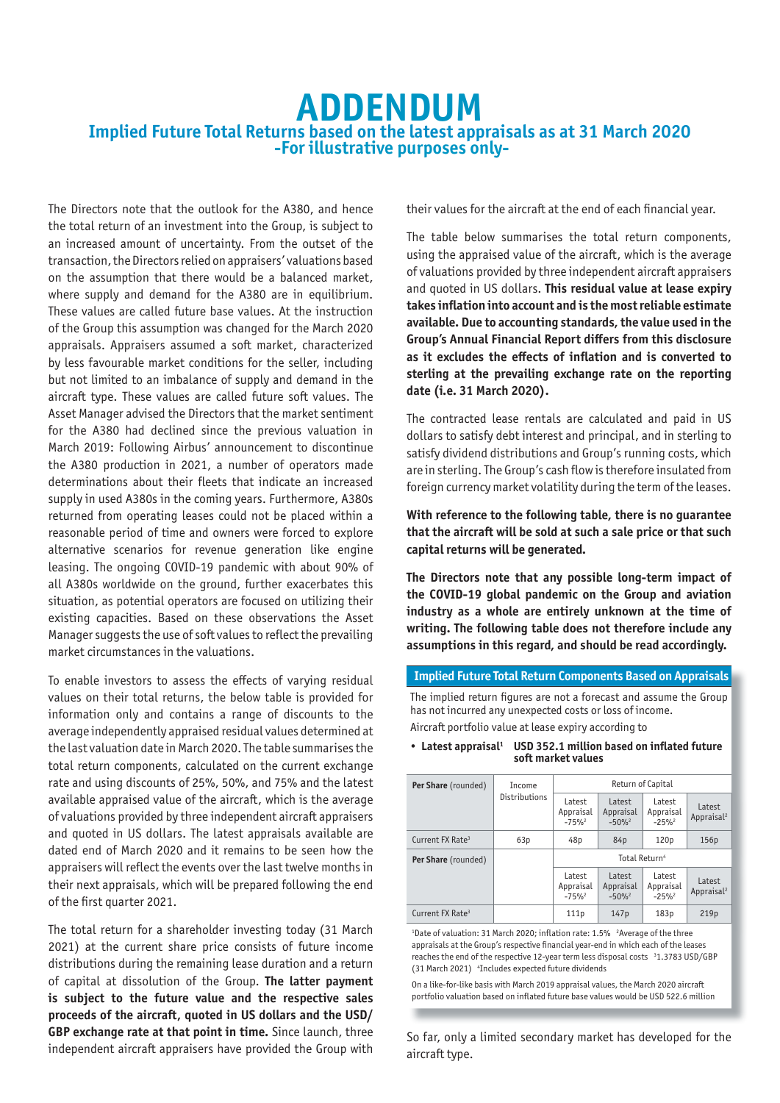# **ADDENDUM Implied Future Total Returns based on the latest appraisals as at 31 March 2020 -For illustrative purposes only-**

The Directors note that the outlook for the A380, and hence the total return of an investment into the Group, is subject to an increased amount of uncertainty. From the outset of the transaction, the Directors relied on appraisers' valuations based on the assumption that there would be a balanced market, where supply and demand for the A380 are in equilibrium. These values are called future base values. At the instruction of the Group this assumption was changed for the March 2020 appraisals. Appraisers assumed a soft market, characterized by less favourable market conditions for the seller, including but not limited to an imbalance of supply and demand in the aircraft type. These values are called future soft values. The Asset Manager advised the Directors that the market sentiment for the A380 had declined since the previous valuation in March 2019: Following Airbus' announcement to discontinue the A380 production in 2021, a number of operators made determinations about their fleets that indicate an increased supply in used A380s in the coming years. Furthermore, A380s returned from operating leases could not be placed within a reasonable period of time and owners were forced to explore alternative scenarios for revenue generation like engine leasing. The ongoing COVID-19 pandemic with about 90% of all A380s worldwide on the ground, further exacerbates this situation, as potential operators are focused on utilizing their existing capacities. Based on these observations the Asset Manager suggests the use of soft values to reflect the prevailing market circumstances in the valuations.

To enable investors to assess the effects of varying residual values on their total returns, the below table is provided for information only and contains a range of discounts to the average independently appraised residual values determined at the last valuation date in March 2020. The table summarises the total return components, calculated on the current exchange rate and using discounts of 25%, 50%, and 75% and the latest available appraised value of the aircraft, which is the average of valuations provided by three independent aircraft appraisers and quoted in US dollars. The latest appraisals available are dated end of March 2020 and it remains to be seen how the appraisers will reflect the events over the last twelve months in their next appraisals, which will be prepared following the end of the first quarter 2021.

The total return for a shareholder investing today (31 March 2021) at the current share price consists of future income distributions during the remaining lease duration and a return of capital at dissolution of the Group. **The latter payment is subject to the future value and the respective sales proceeds of the aircraft, quoted in US dollars and the USD/ GBP exchange rate at that point in time.** Since launch, three independent aircraft appraisers have provided the Group with

their values for the aircraft at the end of each financial year.

The table below summarises the total return components, using the appraised value of the aircraft, which is the average of valuations provided by three independent aircraft appraisers and quoted in US dollars. **This residual value at lease expiry takes inflation into account and is the most reliable estimate available. Due to accounting standards, the value used in the Group's Annual Financial Report differs from this disclosure as it excludes the effects of inflation and is converted to sterling at the prevailing exchange rate on the reporting date (i.e. 31 March 2020).** 

The contracted lease rentals are calculated and paid in US dollars to satisfy debt interest and principal, and in sterling to satisfy dividend distributions and Group's running costs, which are in sterling. The Group's cash flow is therefore insulated from foreign currency market volatility during the term of the leases.

**With reference to the following table, there is no guarantee that the aircraft will be sold at such a sale price or that such capital returns will be generated.**

**The Directors note that any possible long-term impact of the COVID-19 global pandemic on the Group and aviation industry as a whole are entirely unknown at the time of writing. The following table does not therefore include any assumptions in this regard, and should be read accordingly.**

#### **Implied Future Total Return Components Based on Appraisals**

The implied return figures are not a forecast and assume the Group has not incurred any unexpected costs or loss of income.

Aircraft portfolio value at lease expiry according to

| <b>Per Share</b> (rounded)   | Income<br>Distributions | Return of Capital             |                               |                               |                                  |
|------------------------------|-------------------------|-------------------------------|-------------------------------|-------------------------------|----------------------------------|
|                              |                         | Latest<br>Appraisal<br>$-75%$ | Latest<br>Appraisal<br>$-50%$ | Latest<br>Appraisal<br>$-25%$ | Latest<br>Appraisal <sup>2</sup> |
| Current FX Rate <sup>3</sup> | 63p                     | 48p                           | 84 <sub>p</sub>               | 120 <sub>p</sub>              | 156p                             |
| <b>Per Share</b> (rounded)   |                         | Total Return <sup>4</sup>     |                               |                               |                                  |
|                              |                         | Latest<br>Appraisal<br>$-75%$ | Latest<br>Appraisal<br>$-50%$ | Latest<br>Appraisal<br>$-25%$ | Latest<br>Appraisal <sup>2</sup> |
| Current FX Rate <sup>3</sup> |                         | 111p                          | 147p                          | 183p                          | 219p                             |

#### • **Latest appraisal1 USD 352.1 million based on inflated future soft market values**

<sup>1</sup>Date of valuation: 31 March 2020; inflation rate: 1.5% <sup>2</sup>Average of the three appraisals at the Group's respective financial year-end in which each of the leases reaches the end of the respective 12-year term less disposal costs <sup>3</sup>1.3783 USD/GBP (31 March 2021) <sup>4</sup>Includes expected future dividends

On a like-for-like basis with March 2019 appraisal values, the March 2020 aircraft portfolio valuation based on inflated future base values would be USD 522.6 million

So far, only a limited secondary market has developed for the aircraft type.